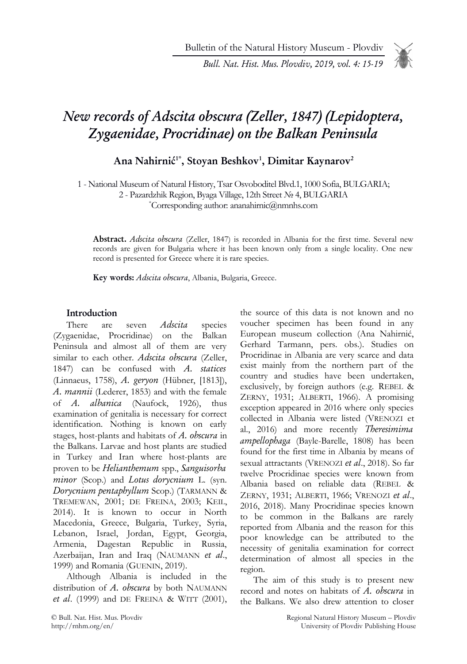Bulletin of the Natural History Museum - Plovdiv

Bull. Nat. Hist. Mus. Plovdiv, 2019, vol. 4: 15-19

# New records of Adscita obscura (Zeller, 1847) (Lepidoptera, Zygaenidae, Procridinae) on the Balkan Peninsula

# Ana Nahirnić<sup>1\*</sup>, Stoyan Beshkov<sup>1</sup>, Dimitar Kaynarov<sup>2</sup>

1 - National Museum of Natural History, Tsar Osvoboditel Blvd.1, 1000 Sofia, BULGARIA;

2 - Pazardzhik Region, Byaga Village, 12th Street № 4, BULGARIA

\*Corresponding author: ananahirnic@nmnhs.com

Abstract. Adscita obscura (Zeller, 1847) is recorded in Albania for the first time. Several new records are given for Bulgaria where it has been known only from a single locality. One new record is presented for Greece where it is rare species.

Key words: Adscita obscura, Albania, Bulgaria, Greece.

### Introduction

There are seven *Adscita* species (Zygaenidae, Procridinae) on the Balkan Peninsula and almost all of them are very similar to each other. Adscita obscura (Zeller, 1847) can be confused with A. statices (Linnaeus, 1758), A. geryon (Hübner, [1813]), A. mannii (Lederer, 1853) and with the female of A. albanica (Naufock, 1926), thus examination of genitalia is necessary for correct identification. Nothing is known on early stages, host-plants and habitats of A. obscura in the Balkans. Larvae and host plants are studied in Turkey and Iran where host-plants are proven to be Helianthemum spp., Sanguisorba minor (Scop.) and Lotus dorycnium L. (syn. Dorycnium pentaphyllum Scop.) (TARMANN & TREMEWAN, 2001; DE FREINA, 2003; KEIL, 2014). It is known to occur in North Macedonia, Greece, Bulgaria, Turkey, Syria, Lebanon, Israel, Jordan, Egypt, Georgia, Armenia, Dagestan Republic in Russia, Azerbaijan, Iran and Iraq (NAUMANN et al., 1999) and Romania (GUENIN, 2019).

Although Albania is included in the distribution of A. obscura by both NAUMANN et al. (1999) and DE FREINA & WITT (2001), voucher specimen has been found in any European museum collection (Ana Nahirnić, Gerhard Tarmann, pers. obs.). Studies on Procridinae in Albania are very scarce and data exist mainly from the northern part of the country and studies have been undertaken, exclusively, by foreign authors (e.g. REBEL & ZERNY, 1931; ALBERTI, 1966). A promising exception appeared in 2016 where only species collected in Albania were listed (VRENOZI et al., 2016) and more recently Theresimima ampellophaga (Bayle-Barelle, 1808) has been found for the first time in Albania by means of sexual attractants (VRENOZI et al., 2018). So far twelve Procridinae species were known from Albania based on reliable data (REBEL & ZERNY, 1931; ALBERTI, 1966; VRENOZI et al., 2016, 2018). Many Procridinae species known to be common in the Balkans are rarely reported from Albania and the reason for this poor knowledge can be attributed to the necessity of genitalia examination for correct determination of almost all species in the region.

the source of this data is not known and no

The aim of this study is to present new record and notes on habitats of A. obscura in the Balkans. We also drew attention to closer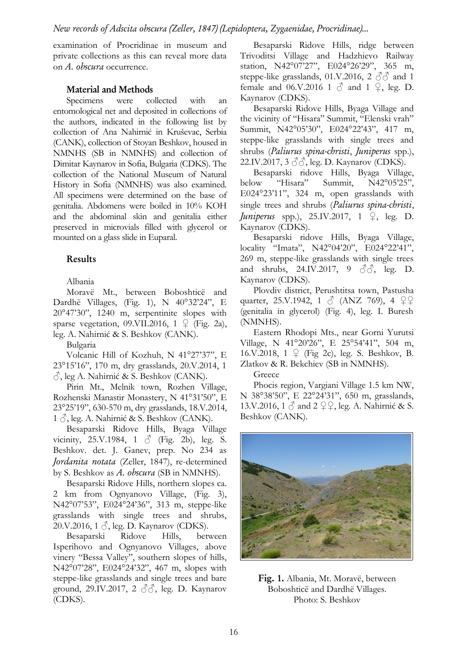examination of Procridinae in museum and private collections as this can reveal more data on A. obscura occurrence.

#### Material and Methods

Specimens were collected with an entomological net and deposited in collections of the authors, indicated in the following list by collection of Ana Nahirnić in Kruševac, Serbia (CANK), collection of Stoyan Beshkov, housed in NMNHS (SB in NMNHS) and collection of Dimitar Kaynarov in Sofia, Bulgaria (CDKS). The collection of the National Museum of Natural History in Sofia (NMNHS) was also examined. All specimens were determined on the base of genitalia. Abdomens were boiled in 10% KOH and the abdominal skin and genitalia either preserved in microvials filled with glycerol or mounted on a glass slide in Euparal.

#### Results

Albania

Moravë Mt., between Boboshticë and Dardhë Villages, (Fig. 1), N 40°32'24", E 20°47'30", 1240 m, serpentinite slopes with sparse vegetation, 09. VII. 2016,  $1 \nsubseteq$  (Fig. 2a), leg. A. Nahirnić & S. Beshkov (CANK).

Bulgaria

Volcanic Hill of Kozhuh, N 41°27'37", E 23°15'16", 170 m, dry grasslands, 20.V.2014, 1  $\hat{\circ}$ , leg A. Nahirnić & S. Beshkov (CANK).

Pirin Mt., Melnik town, Rozhen Village, Rozhenski Manastir Monastery, N 41°31'50", E 23°25'19", 630-570 m, dry grasslands, 18.V.2014,  $1 \circ$ , leg. A. Nahirnić & S. Beshkov (CANK).

Besaparski Ridove Hills, Byaga Village vicinity, 25.V.1984, 1  $\circ$  (Fig. 2b), leg. S. Beshkov. det. J. Ganev, prep. No 234 as Jordanita notata (Zeller, 1847), re-determined by S. Beshkov as A. obscura (SB in NMNHS).

Besaparski Ridove Hills, northern slopes ca. 2 km from Ognyanovo Village, (Fig. 3), N42°07'53", E024°24'36", 313 m, steppe-like grasslands with single trees and shrubs, 20.V.2016, 1  $\delta$ , leg. D. Kaynarov (CDKS).

Besaparski Ridove Hills, between Isperihovo and Ognyanovo Villages, above vinery "Bessa Valley", southern slopes of hills, N42°07'28", E024°24'32", 467 m, slopes with steppe-like grasslands and single trees and bare ground, 29.IV.2017, 2  $\mathcal{S}\mathcal{S}$ , leg. D. Kaynarov (CDKS).

Besaparski Ridove Hills, ridge between Trivoditsi Village and Hadzhievo Railway station, N42°07'27", E024°26'29", 365 m, steppe-like grasslands, 01.V.2016, 2  $\partial \partial$  and 1 female and 06.V.2016 1  $\circled{}$  and 1  $\circled{}$ , leg. D. Kaynarov (CDKS).

Besaparski Ridove Hills, Byaga Village and the vicinity of "Hisara" Summit, "Elenski vrah" Summit, N42°05'30", E024°22'43", 417 m, steppe-like grasslands with single trees and shrubs (Paliurus spina-christi, Juniperus spp.), 22.IV.2017, 3 ♂♂, leg. D. Kaynarov (CDKS).

Besaparski ridove Hills, Byaga Village, below "Hisara" Summit, N42°05'25", E024°23'11", 324 m, open grasslands with single trees and shrubs (Paliurus spina-christi, *Juniperus* spp.), 25.IV.2017, 1  $\mathcal{Q}$ , leg. D. Kaynarov (CDKS).

Besaparski ridove Hills, Byaga Village, locality "Imata", N42°04'20", E024°22'41", 269 m, steppe-like grasslands with single trees and shrubs, 24.IV.2017, 9  $\partial \mathcal{S}$ , leg. D. Kaynarov (CDKS).

Plovdiv district, Perushtitsa town, Pastusha quarter, 25.V.1942, 1  $\circ$  (ANZ 769), 4  $22$ (genitalia in glycerol) (Fig. 4), leg. I. Buresh (NMNHS).

Eastern Rhodopi Mts., near Gorni Yurutsi Village, N 41°20'26", E 25°54'41", 504 m, 16.V.2018, 1 ♀ (Fig 2c), leg. S. Beshkov, B. Zlatkov & R. Bekchiev (SB in NMNHS).

Greece

Phocis region, Vargiani Village 1.5 km NW, N 38°38'50", E 22°24'31", 650 m, grasslands, 13.V.2016, 1  $\circ$  and 2  $\circ$  Q, leg. A. Nahirnić & S. Beshkov (CANK).



Fig. 1. Albania, Mt. Moravë, between Boboshticë and Dardhë Villages. Photo: S. Beshkov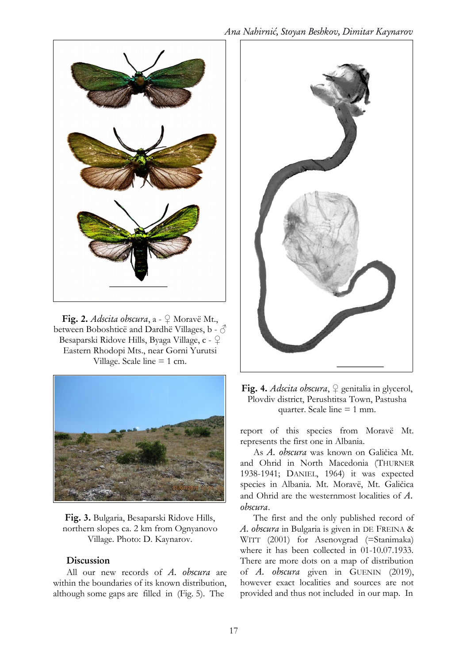

Fig. 2. Adscita obscura,  $a - 2$  Moravë Mt., between Boboshticë and Dardhë Villages, b -  $\hat{\circ}$ Besaparski Ridove Hills, Byaga Village, c - ♀ Eastern Rhodopi Mts., near Gorni Yurutsi Village. Scale line = 1 cm.



Fig. 3. Bulgaria, Besaparski Ridove Hills, northern slopes ca. 2 km from Ognyanovo Village. Photo: D. Kaynarov.

#### Discussion

All our new records of A. obscura are within the boundaries of its known distribution, although some gaps are filled in (Fig. 5). The



Fig. 4. Adscita obscura,  $\varphi$  genitalia in glycerol, Plovdiv district, Perushtitsa Town, Pastusha quarter. Scale line  $= 1$  mm.

report of this species from Moravë Mt. represents the first one in Albania.

As A. obscura was known on Galičica Mt. and Ohrid in North Macedonia (THURNER 1938-1941; DANIEL, 1964) it was expected species in Albania. Mt. Moravë, Mt. Galičica and Ohrid are the westernmost localities of A. obscura.

The first and the only published record of A. obscura in Bulgaria is given in DE FREINA & WITT (2001) for Asenovgrad (=Stanimaka) where it has been collected in 01-10.07.1933. There are more dots on a map of distribution of A. obscura given in GUENIN (2019), however exact localities and sources are not provided and thus not included in our map. In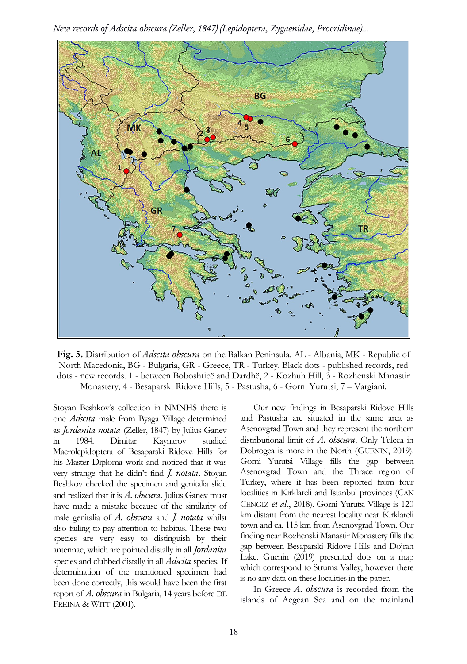New records of Adscita obscura (Zeller, 1847) (Lepidoptera, Zygaenidae, Procridinae)...



Fig. 5. Distribution of Adscita obscura on the Balkan Peninsula. AL - Albania, MK - Republic of North Macedonia, BG - Bulgaria, GR - Greece, TR - Turkey. Black dots - published records, red dots - new records. 1 - between Boboshticë and Dardhë, 2 - Kozhuh Hill, 3 - Rozhenski Manastir Monastery, 4 - Besaparski Ridove Hills, 5 - Pastusha, 6 - Gorni Yurutsi, 7 – Vargiani.

Stoyan Beshkov's collection in NMNHS there is one Adscita male from Byaga Village determined as Jordanita notata (Zeller, 1847) by Julius Ganev in 1984. Dimitar Kaynarov studied Macrolepidoptera of Besaparski Ridove Hills for his Master Diploma work and noticed that it was very strange that he didn't find J. notata. Stoyan Beshkov checked the specimen and genitalia slide and realized that it is  $A$ . obscura. Julius Ganev must have made a mistake because of the similarity of male genitalia of A. obscura and J. notata whilst also failing to pay attention to habitus. These two species are very easy to distinguish by their antennae, which are pointed distally in all Jordanita species and clubbed distally in all *Adscita* species. If determination of the mentioned specimen had been done correctly, this would have been the first report of A. obscura in Bulgaria, 14 years before DE FREINA & WITT (2001).

Our new findings in Besaparski Ridove Hills and Pastusha are situated in the same area as Asenovgrad Town and they represent the northern distributional limit of A. obscura. Only Tulcea in Dobrogea is more in the North (GUENIN, 2019). Gorni Yurutsi Village fills the gap between Asenovgrad Town and the Thrace region of Turkey, where it has been reported from four localities in Kırklareli and Istanbul provinces (CAN CENGIZ et al., 2018). Gorni Yurutsi Village is 120 km distant from the nearest locality near Kırklareli town and ca. 115 km from Asenovgrad Town. Our finding near Rozhenski Manastir Monastery fills the gap between Besaparski Ridove Hills and Dojran Lake. Guenin (2019) presented dots on a map which correspond to Struma Valley, however there is no any data on these localities in the paper.

In Greece A. obscura is recorded from the islands of Aegean Sea and on the mainland